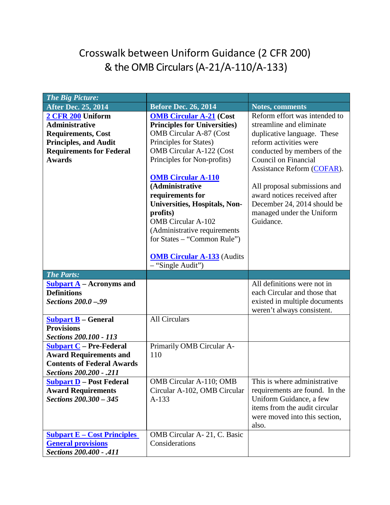## Crosswalk between Uniform Guidance (2 CFR 200) & the OMB Circulars (A-21/A-110/A-133)

| <b>The Big Picture:</b>                         |                                     |                                                          |
|-------------------------------------------------|-------------------------------------|----------------------------------------------------------|
| <b>After Dec. 25, 2014</b>                      | <b>Before Dec. 26, 2014</b>         | <b>Notes, comments</b>                                   |
| 2 CFR 200 Uniform                               | <b>OMB Circular A-21 (Cost</b>      | Reform effort was intended to                            |
| <b>Administrative</b>                           | <b>Principles for Universities)</b> | streamline and eliminate                                 |
| <b>Requirements, Cost</b>                       | <b>OMB</b> Circular A-87 (Cost      | duplicative language. These                              |
| <b>Principles, and Audit</b>                    | Principles for States)              | reform activities were                                   |
| <b>Requirements for Federal</b>                 | <b>OMB</b> Circular A-122 (Cost     | conducted by members of the                              |
| <b>Awards</b>                                   | Principles for Non-profits)         | Council on Financial                                     |
|                                                 |                                     | Assistance Reform (COFAR).                               |
|                                                 | <b>OMB Circular A-110</b>           |                                                          |
|                                                 | (Administrative                     | All proposal submissions and                             |
|                                                 | requirements for                    | award notices received after                             |
|                                                 | Universities, Hospitals, Non-       | December 24, 2014 should be                              |
|                                                 | profits)                            | managed under the Uniform                                |
|                                                 | <b>OMB</b> Circular A-102           | Guidance.                                                |
|                                                 | (Administrative requirements        |                                                          |
|                                                 | for States – "Common Rule")         |                                                          |
|                                                 |                                     |                                                          |
|                                                 | <b>OMB Circular A-133</b> (Audits   |                                                          |
|                                                 | - "Single Audit")                   |                                                          |
|                                                 |                                     |                                                          |
| <b>The Parts:</b>                               |                                     |                                                          |
| <b>Subpart A</b> – Acronyms and                 |                                     | All definitions were not in                              |
| <b>Definitions</b>                              |                                     | each Circular and those that                             |
| <b>Sections 200.0 -.99</b>                      |                                     | existed in multiple documents                            |
|                                                 |                                     | weren't always consistent.                               |
| <b>Subpart B – General</b>                      | <b>All Circulars</b>                |                                                          |
| <b>Provisions</b>                               |                                     |                                                          |
| <b>Sections 200.100 - 113</b>                   |                                     |                                                          |
| <b>Subpart C</b> - Pre-Federal                  | Primarily OMB Circular A-           |                                                          |
| <b>Award Requirements and</b>                   | 110                                 |                                                          |
| <b>Contents of Federal Awards</b>               |                                     |                                                          |
| <b>Sections 200.200 - .211</b>                  |                                     |                                                          |
| <b>Subpart D</b> – Post Federal                 | OMB Circular A-110; OMB             | This is where administrative                             |
| <b>Award Requirements</b>                       | Circular A-102, OMB Circular        | requirements are found. In the                           |
| Sections 200.300 - 345                          | $A-133$                             | Uniform Guidance, a few<br>items from the audit circular |
|                                                 |                                     | were moved into this section,                            |
|                                                 |                                     | also.                                                    |
| <b>Subpart <math>E - Cost</math> Principles</b> | OMB Circular A- 21, C. Basic        |                                                          |
| <b>General provisions</b>                       | Considerations                      |                                                          |